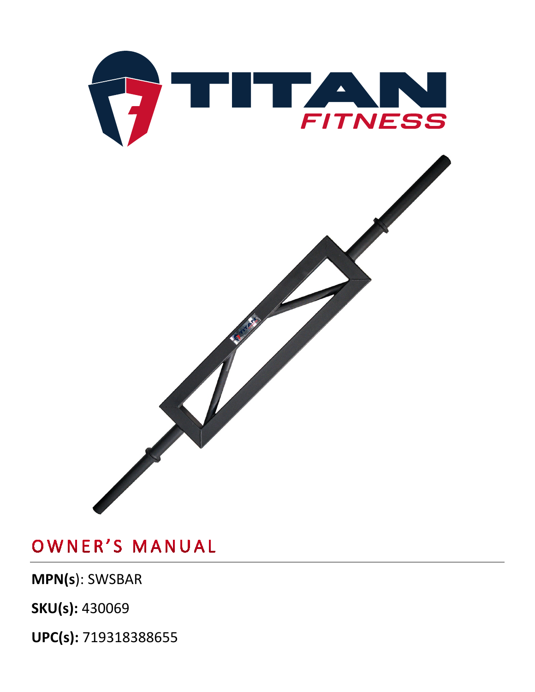

**MPN(s**): SWSBAR

**SKU(s):** 430069

**UPC(s):** 719318388655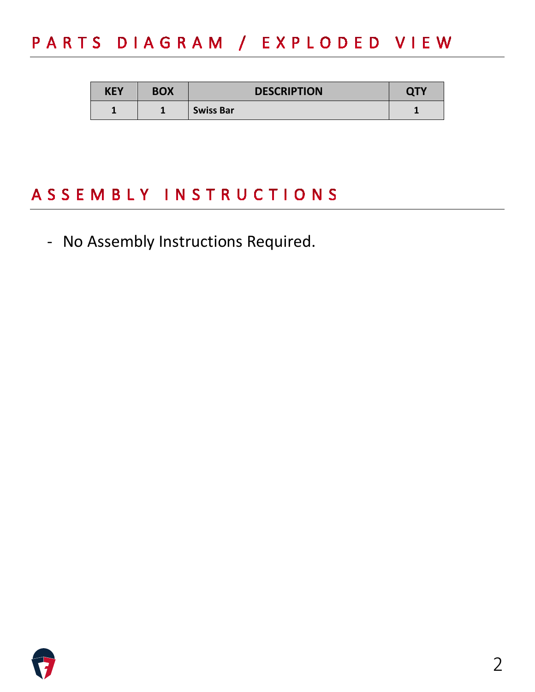# PARTS DIAGRAM / EXPLODED VIEW

| KEY | <b>BOX</b> | <b>DESCRIPTION</b> | ידר |
|-----|------------|--------------------|-----|
|     |            | <b>Swiss Bar</b>   |     |

## ASSEMBLY INSTRUCTIONS

- No Assembly Instructions Required.